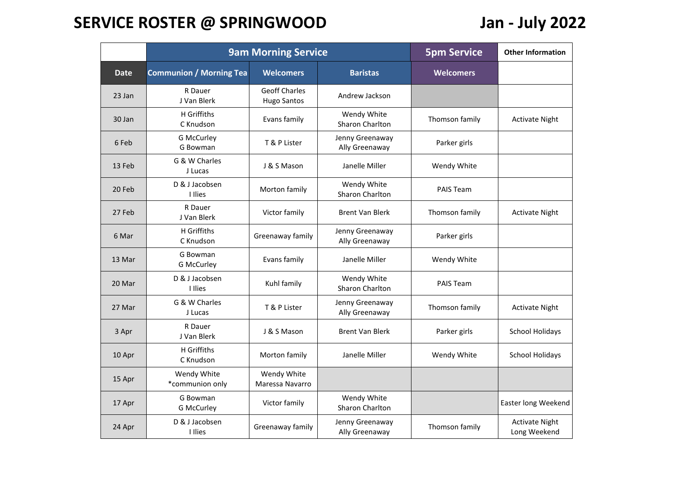## **SERVICE ROSTER @ SPRINGWOOD Jan - July 2022**

|             |                                | <b>9am Morning Service</b>                 | <b>5pm Service</b>                    | <b>Other Information</b> |                                       |
|-------------|--------------------------------|--------------------------------------------|---------------------------------------|--------------------------|---------------------------------------|
| <b>Date</b> | <b>Communion / Morning Tea</b> | <b>Welcomers</b>                           | <b>Baristas</b>                       | <b>Welcomers</b>         |                                       |
| 23 Jan      | R Dauer<br>J Van Blerk         | <b>Geoff Charles</b><br><b>Hugo Santos</b> | Andrew Jackson                        |                          |                                       |
| 30 Jan      | H Griffiths<br>C Knudson       | Evans family                               | Wendy White<br>Sharon Charlton        | Thomson family           | <b>Activate Night</b>                 |
| 6 Feb       | <b>G McCurley</b><br>G Bowman  | T & P Lister                               | Jenny Greenaway<br>Ally Greenaway     | Parker girls             |                                       |
| 13 Feb      | G & W Charles<br>J Lucas       | J & S Mason                                | Janelle Miller                        | Wendy White              |                                       |
| 20 Feb      | D & J Jacobsen<br>I Ilies      | Morton family                              | Wendy White<br>Sharon Charlton        | <b>PAIS Team</b>         |                                       |
| 27 Feb      | R Dauer<br>J Van Blerk         | Victor family                              | <b>Brent Van Blerk</b>                | Thomson family           | <b>Activate Night</b>                 |
| 6 Mar       | H Griffiths<br>C Knudson       | Greenaway family                           | Jenny Greenaway<br>Ally Greenaway     | Parker girls             |                                       |
| 13 Mar      | G Bowman<br><b>G McCurley</b>  | Evans family                               | Janelle Miller                        | Wendy White              |                                       |
| 20 Mar      | D & J Jacobsen<br>I Ilies      | Kuhl family                                | Wendy White<br>Sharon Charlton        | PAIS Team                |                                       |
| 27 Mar      | G & W Charles<br>J Lucas       | T & P Lister                               | Jenny Greenaway<br>Ally Greenaway     | Thomson family           | <b>Activate Night</b>                 |
| 3 Apr       | R Dauer<br>J Van Blerk         | J & S Mason                                | <b>Brent Van Blerk</b>                | Parker girls             | <b>School Holidays</b>                |
| 10 Apr      | H Griffiths<br>C Knudson       | Morton family                              | Janelle Miller                        | Wendy White              | <b>School Holidays</b>                |
| 15 Apr      | Wendy White<br>*communion only | Wendy White<br>Maressa Navarro             |                                       |                          |                                       |
| 17 Apr      | G Bowman<br><b>G McCurley</b>  | Victor family                              | Wendy White<br><b>Sharon Charlton</b> |                          | Easter long Weekend                   |
| 24 Apr      | D & J Jacobsen<br>I Ilies      | Greenaway family                           | Jenny Greenaway<br>Ally Greenaway     | Thomson family           | <b>Activate Night</b><br>Long Weekend |